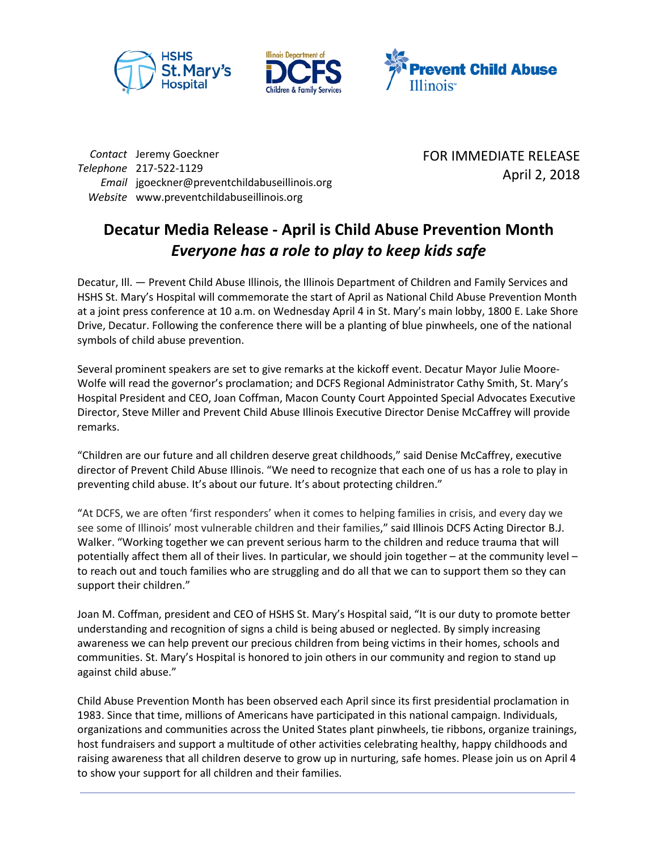





*Contact* Jeremy Goeckner *Telephone* 217-522-1129 *Email* jgoeckner@preventchildabuseillinois.org *Website* www.preventchildabuseillinois.org

FOR IMMEDIATE RELEASE April 2, 2018

## **Decatur Media Release - April is Child Abuse Prevention Month** *Everyone has a role to play to keep kids safe*

Decatur, Ill. — Prevent Child Abuse Illinois, the Illinois Department of Children and Family Services and HSHS St. Mary's Hospital will commemorate the start of April as National Child Abuse Prevention Month at a joint press conference at 10 a.m. on Wednesday April 4 in St. Mary's main lobby, 1800 E. Lake Shore Drive, Decatur. Following the conference there will be a planting of blue pinwheels, one of the national symbols of child abuse prevention.

Several prominent speakers are set to give remarks at the kickoff event. Decatur Mayor Julie Moore-Wolfe will read the governor's proclamation; and DCFS Regional Administrator Cathy Smith, St. Mary's Hospital President and CEO, Joan Coffman, Macon County Court Appointed Special Advocates Executive Director, Steve Miller and Prevent Child Abuse Illinois Executive Director Denise McCaffrey will provide remarks.

"Children are our future and all children deserve great childhoods," said Denise McCaffrey, executive director of Prevent Child Abuse Illinois. "We need to recognize that each one of us has a role to play in preventing child abuse. It's about our future. It's about protecting children."

"At DCFS, we are often 'first responders' when it comes to helping families in crisis, and every day we see some of Illinois' most vulnerable children and their families," said Illinois DCFS Acting Director B.J. Walker. "Working together we can prevent serious harm to the children and reduce trauma that will potentially affect them all of their lives. In particular, we should join together – at the community level – to reach out and touch families who are struggling and do all that we can to support them so they can support their children."

Joan M. Coffman, president and CEO of HSHS St. Mary's Hospital said, "It is our duty to promote better understanding and recognition of signs a child is being abused or neglected. By simply increasing awareness we can help prevent our precious children from being victims in their homes, schools and communities. St. Mary's Hospital is honored to join others in our community and region to stand up against child abuse."

Child Abuse Prevention Month has been observed each April since its first presidential proclamation in 1983. Since that time, millions of Americans have participated in this national campaign. Individuals, organizations and communities across the United States plant pinwheels, tie ribbons, organize trainings, host fundraisers and support a multitude of other activities celebrating healthy, happy childhoods and raising awareness that all children deserve to grow up in nurturing, safe homes. Please join us on April 4 to show your support for all children and their families.